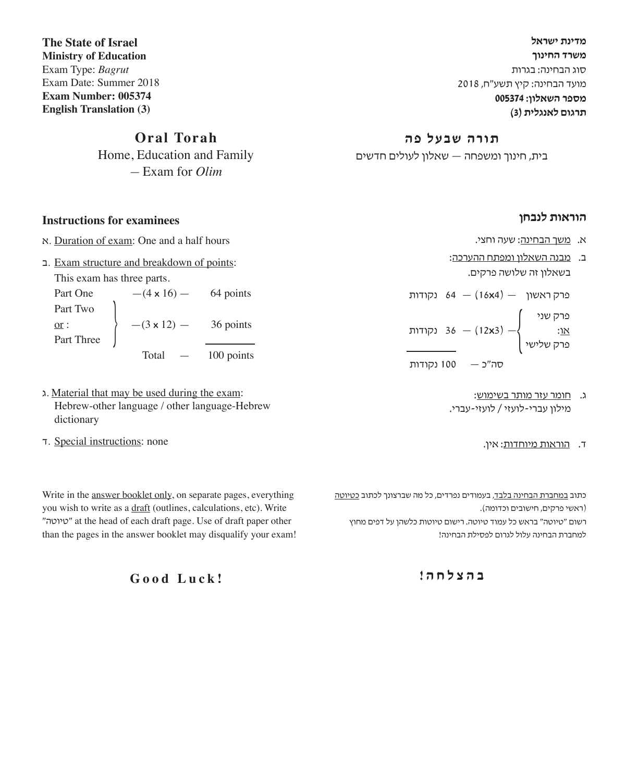**מדינת ישראל משרד החינוך** סוג הבחינה: בגרות מועד הבחינה: קיץ תשע"ח, 2018 **מספר השאלון: 005374 תרגום לאנגלית )3(**

#### **תורה שבעל פה**

בית, חינוך ומשפחה — שאלון לעולים חדשים

**The State of Israel Ministry of Education** Exam Type: *Bagrut* Exam Date: Summer 2018 **Exam Number: 005374 English Translation (3)**

### **Oral Torah**

Home, Education and Family — Exam for *Olim*

#### **Instructions for examinees**

- א. Duration of exam: One and a half hours
- ב. Exam structure and breakdown of points: This exam has three parts.

Part One  $-(4 \times 16)$  — 64 points Part Two  $\frac{\text{or}}{\text{Part Three}}$   $-$  (3 **x** 12) - 36 points 100 points

- ג. Material that may be used during the exam: Hebrew-other language / other language-Hebrew dictionary
- ד. Special instructions: none

Write in the answer booklet only, on separate pages, everything you wish to write as a draft (outlines, calculations, etc). Write "טיוטה "at the head of each draft page. Use of draft paper other than the pages in the answer booklet may disqualify your exam!

**Good Luck!**

- **הוראות לנבחן**
- א. משך הבחינה: שעה וחצי.
- ב. מבנה השאלון ומפתח ההערכה: בשאלון זה שלושה פרקים.

פרק ראשון — )4**x**16 — )64 נקודות פרק שני — )3**x**12 — )36 נקודות או: { פרק שלישי

- סה"כ 100 נקודות
	- ג. חומר עזר מותר בשימוש: מילון עברי-לועזי / לועזי-עברי.
		- ד. הוראות מיוחדות: אין.

כתוב במחברת הבחינה בלבד, בעמודים נפרדים, כל מה שברצונך לכתוב כטיוטה )ראשי פרקים, חישובים וכדומה(. רשום "טיוטה" בראש כל עמוד טיוטה. רישום טיוטות כלשהן על דפים מחוץ

למחברת הבחינה עלול לגרום לפסילת הבחינה!

**ב ה צ ל ח ה !**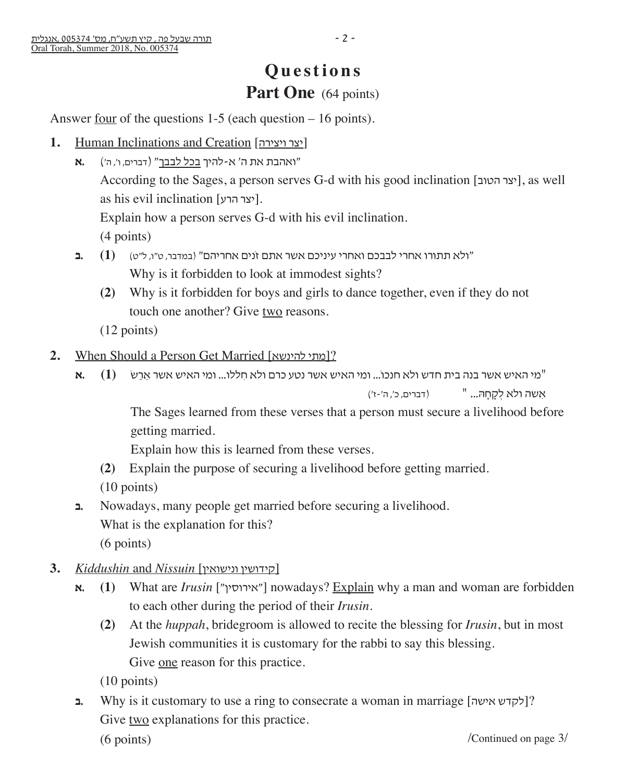# **Questions** Part One (64 points)

Answer <u>four</u> of the questions  $1-5$  (each question  $-16$  points).

- **1.** Human Inclinations and Creation [ויצירה יצר[
	- "ואהבת את ה' א-להיך בכל לבבך" )דברים, ו', ה'( **.א** According to the Sages, a person serves G-d with his good inclination [יצר הטוב], as well as his evil inclination [יצר הרע]. Explain how a person serves G-d with his evil inclination. (4 points)
	- "ולא תתוּ רו אחרי לבבכם ואחרי עיניכם אשר אתם זֹנים אחריהם" )במדבר, ט"ו, ל"ט( **(1) .ב** Why is it forbidden to look at immodest sights?
		- **(2)** Why is it forbidden for boys and girls to dance together, even if they do not touch one another? Give two reasons.
		- (12 points)
- **2.** When Should a Person Get Married [להינשא מתי?[
	- "מי האיש אשר בנה בית חדש ולא חנכו...ֹ ומי האיש אשר נטע כרם ולא חִ ללו... ומי האיש אשר אֵ רַ שׂ **)1( .א**

(אִ לְקְחָהָ... " (דברים, כ', ה'-ז')

The Sages learned from these verses that a person must secure a livelihood before getting married.

Explain how this is learned from these verses.

- **(2)** Explain the purpose of securing a livelihood before getting married.
- (10 points)
- **ב.** Nowadays, many people get married before securing a livelihood. What is the explanation for this? (6 points)
- **3.** *Kiddushin* and *Nissuin* [ונישואין קידושין[
	- **א.** (1) What are *Irusin* ["אירוסין"] nowadays? Explain why a man and woman are forbidden to each other during the period of their *Irusin*.
		- **(2)** At the *huppah*, bridegroom is allowed to recite the blessing for *Irusin*, but in most Jewish communities it is customary for the rabbi to say this blessing. Give <u>one</u> reason for this practice.

(10 points)

**ב.** Why is it customary to use a ring to consecrate a woman in marriage [אישה לקדש ?[ Give two explanations for this practice.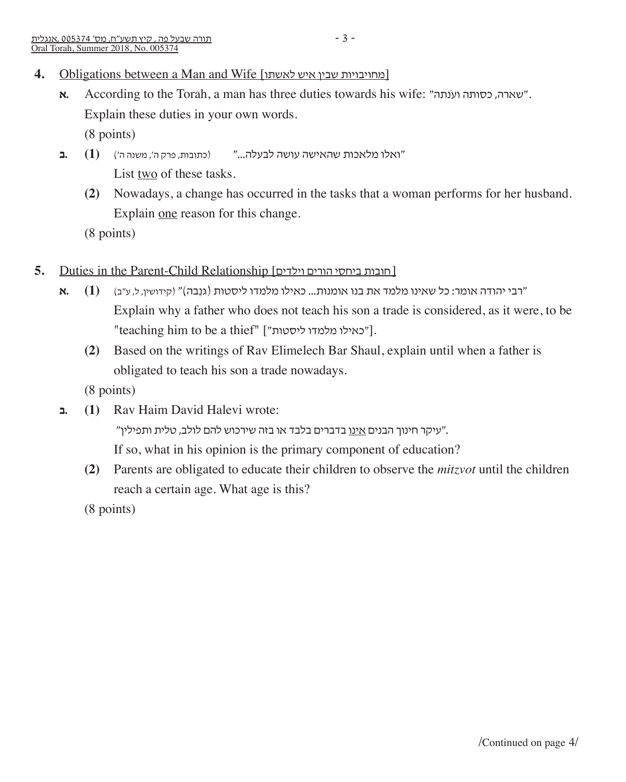- 4. Obligations between a Man and Wife [מחויבויות שבין איש לאשתו
	- **א.** According to the Torah, a man has three duties towards his wife: "נתהֹוע כסותה ,שארה". Explain these duties in your own words. (8 points)
	- "ואלו מלאכות שהאישה עושה לבעלה..." )כתובות, פרק ה', משנה ה'( **(1) .ב** List two of these tasks.
		- **(2)** Nowadays, a change has occurred in the tasks that a woman performs for her husband. Explain one reason for this change.

(8 points)

- **5.** Duties in the Parent-Child Relationship [וילדים הורים ביחסי חובות[
	- "רבי יהודה אומר: כל שאינו מלמד את בנו אומנות... כאילו מלמדו ליסטות )גנֵ בה(" )קידושין, ל, ע"ב( **(1) .א** Explain why a father who does not teach his son a trade is considered, as it were, to be "teaching him to be a thief" ["כאילו מלמדו ליסטות"].
		- **(2)** Based on the writings of Rav Elimelech Bar Shaul, explain until when a father is obligated to teach his son a trade nowadays.

(8 points)

**ב.) 1 (**Rav Haim David Halevi wrote:

עיקר חינוך הבנים <u>אינו</u> בדברים בלבד או בזה שירכוש להם לולב, טלית ותפילין".

If so, what in his opinion is the primary component of education?

 **(2)** Parents are obligated to educate their children to observe the *mitzvot* until the children reach a certain age. What age is this?

(8 points)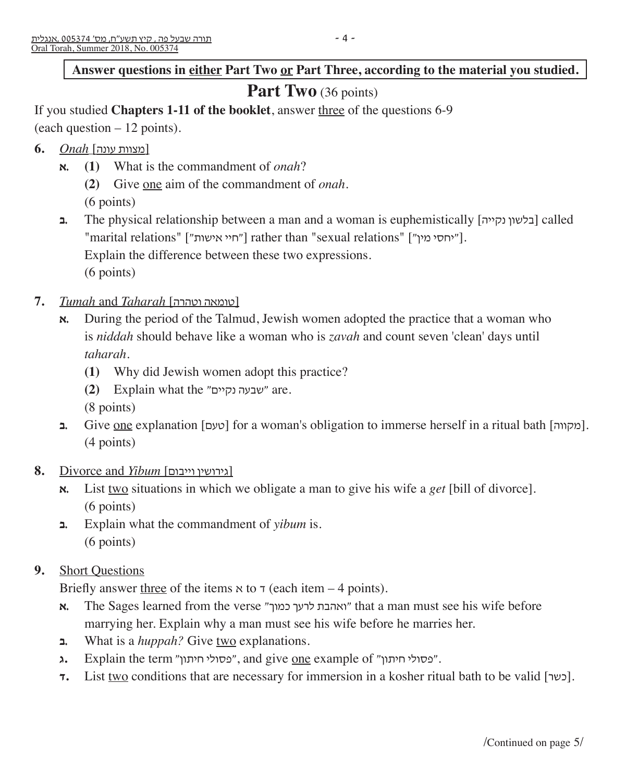#### Answer questions in either Part Two or Part Three, according to the material you studied.

# Part Two (36 points)

If you studied **Chapters 1-11 of the booklet**, answer three of the questions 6-9

(each question – 12 points).

- [מצוות עונה] *Onah* **6.**
	- **א.) 1 (**What is the commandment of *onah*?
		- **(2)** Give one aim of the commandment of *onah*.
		- (6 points)
	- **ב** The physical relationship between a man and a woman is euphemistically [בלשון נקייה] called "marital relations" ["חיי אישות"] rather than "sexual relations" ["יחסי מין"). Explain the difference between these two expressions. (6 points)
- **7.** *Tumah* and *Taharah* [וטהרה טומאה[
	- **א.** During the period of the Talmud, Jewish women adopted the practice that a woman who is *niddah* should behave like a woman who is *zavah* and count seven 'clean' days until *taharah*.
		- **(1)** Why did Jewish women adopt this practice?
		- **(2)** Explain what the "נקיים שבעה "are.
		- (8 points)
	- **ב.** Give <u>one</u> explanation [כעם] for a woman's obligation to immerse herself in a ritual bath [מקווה]. (4 points)
- **8.** Divorce and *Yibum* [וייבום גירושין[
	- **א.** List two situations in which we obligate a man to give his wife a *get* [bill of divorce]. (6 points)
	- **ב.** Explain what the commandment of *yibum* is. (6 points)
- **9.** Short Questions

Briefly answer three of the items  $\alpha$  to  $\tau$  (each item – 4 points).

- **א.** The Sages learned from the verse "יאהבת לרעך כמוך" that a man must see his wife before marrying her. Explain why a man must see his wife before he marries her.
- **ב.** What is a *huppah?* Give two explanations.
- **ג.** Explain the term "פסולי חיתון", and give one example of "מסולי חיתון".
- **7.** List two conditions that are necessary for immersion in a kosher ritual bath to be valid [כשר].